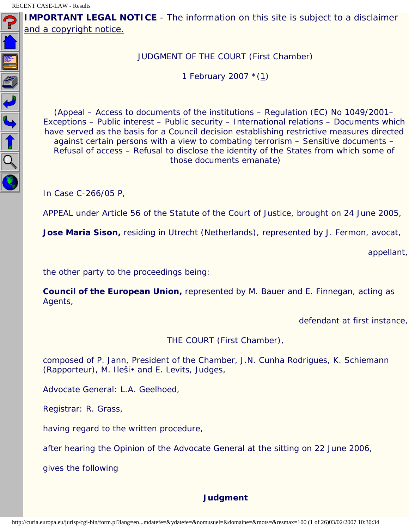<span id="page-0-0"></span> $\blacksquare$ 

**IMPORTANT LEGAL NOTICE** - The information on this site is subject to a disclaimer [and a copyright notice.](javascript:window.open() 

JUDGMENT OF THE COURT (First Chamber)

1 February 2007 \*([1\)](#page-25-0)

(Appeal – Access to documents of the institutions – Regulation (EC) No 1049/2001– Exceptions – Public interest – Public security – International relations – Documents which have served as the basis for a Council decision establishing restrictive measures directed against certain persons with a view to combating terrorism – Sensitive documents – Refusal of access – Refusal to disclose the identity of the States from which some of those documents emanate)

In Case C-266/05 P,

APPEAL under Article 56 of the Statute of the Court of Justice, brought on 24 June 2005,

**Jose Maria Sison,** residing in Utrecht (Netherlands), represented by J. Fermon, avocat,

appellant,

the other party to the proceedings being:

**Council of the European Union,** represented by M. Bauer and E. Finnegan, acting as Agents,

defendant at first instance,

THE COURT (First Chamber),

composed of P. Jann, President of the Chamber, J.N. Cunha Rodrigues, K. Schiemann (Rapporteur), M. Ileši• and E. Levits, Judges,

Advocate General: L.A. Geelhoed,

Registrar: R. Grass,

having regard to the written procedure,

after hearing the Opinion of the Advocate General at the sitting on 22 June 2006,

gives the following

# **Judgment**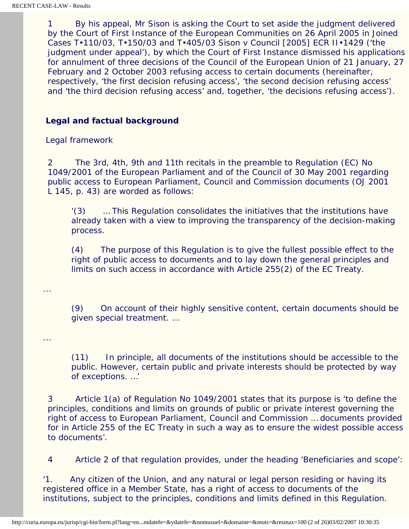1 By his appeal, Mr Sison is asking the Court to set aside the judgment delivered by the Court of First Instance of the European Communities on 26 April 2005 in Joined Cases T•110/03, T•150/03 and T•405/03 *Sison* v *Council* [2005] ECR II•1429 ('the judgment under appeal'), by which the Court of First Instance dismissed his applications for annulment of three decisions of the Council of the European Union of 21 January, 27 February and 2 October 2003 refusing access to certain documents (hereinafter, respectively, 'the first decision refusing access', 'the second decision refusing access' and 'the third decision refusing access' and, together, 'the decisions refusing access').

# **Legal and factual background**

#### *Legal framework*

2 The 3rd, 4th, 9th and 11th recitals in the preamble to Regulation (EC) No 1049/2001 of the European Parliament and of the Council of 30 May 2001 regarding public access to European Parliament, Council and Commission documents (OJ 2001 L 145, p. 43) are worded as follows:

'(3) … This Regulation consolidates the initiatives that the institutions have already taken with a view to improving the transparency of the decision-making process.

(4) The purpose of this Regulation is to give the fullest possible effect to the right of public access to documents and to lay down the general principles and limits on such access in accordance with Article 255(2) of the EC Treaty.

...

...

(9) On account of their highly sensitive content, certain documents should be given special treatment. …

(11) In principle, all documents of the institutions should be accessible to the public. However, certain public and private interests should be protected by way of exceptions. …'

3 Article 1(a) of Regulation No 1049/2001 states that its purpose is 'to define the principles, conditions and limits on grounds of public or private interest governing the right of access to European Parliament, Council and Commission … documents provided for in Article 255 of the EC Treaty in such a way as to ensure the widest possible access to documents'.

4 Article 2 of that regulation provides, under the heading 'Beneficiaries and scope':

'1. Any citizen of the Union, and any natural or legal person residing or having its registered office in a Member State, has a right of access to documents of the institutions, subject to the principles, conditions and limits defined in this Regulation.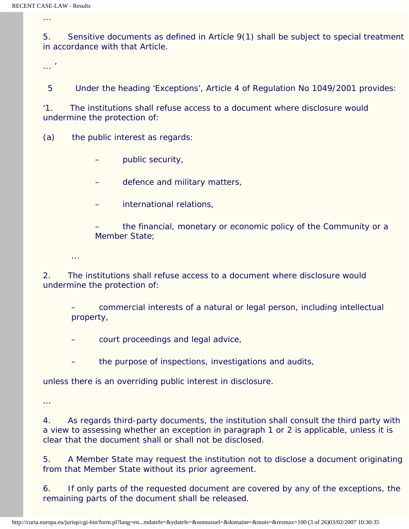...

5. Sensitive documents as defined in Article 9(1) shall be subject to special treatment in accordance with that Article.

... '

5 Under the heading 'Exceptions', Article 4 of Regulation No 1049/2001 provides:

'1. The institutions shall refuse access to a document where disclosure would undermine the protection of:

(a) the public interest as regards:

- public security,
- defence and military matters,
- international relations,

– the financial, monetary or economic policy of the Community or a Member State;

2. The institutions shall refuse access to a document where disclosure would undermine the protection of:

– commercial interests of a natural or legal person, including intellectual property,

– court proceedings and legal advice,

the purpose of inspections, investigations and audits,

unless there is an overriding public interest in disclosure.

…

...

4. As regards third-party documents, the institution shall consult the third party with a view to assessing whether an exception in paragraph 1 or 2 is applicable, unless it is clear that the document shall or shall not be disclosed.

5. A Member State may request the institution not to disclose a document originating from that Member State without its prior agreement.

6. If only parts of the requested document are covered by any of the exceptions, the remaining parts of the document shall be released.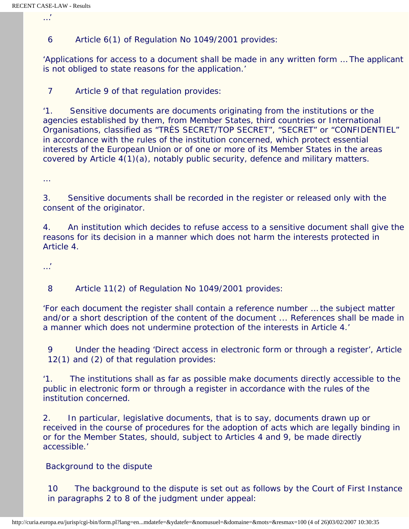…'

6 Article 6(1) of Regulation No 1049/2001 provides:

'Applications for access to a document shall be made in any written form … The applicant is not obliged to state reasons for the application.'

7 Article 9 of that regulation provides:

'1. Sensitive documents are documents originating from the institutions or the agencies established by them, from Member States, third countries or International Organisations, classified as "TRÈS SECRET/TOP SECRET", "SECRET" or "CONFIDENTIEL" in accordance with the rules of the institution concerned, which protect essential interests of the European Union or of one or more of its Member States in the areas covered by Article 4(1)(a), notably public security, defence and military matters.

…

3. Sensitive documents shall be recorded in the register or released only with the consent of the originator.

4. An institution which decides to refuse access to a sensitive document shall give the reasons for its decision in a manner which does not harm the interests protected in Article 4.

…'

8 Article 11(2) of Regulation No 1049/2001 provides:

'For each document the register shall contain a reference number … the subject matter and/or a short description of the content of the document ... References shall be made in a manner which does not undermine protection of the interests in Article 4.'

9 Under the heading 'Direct access in electronic form or through a register', Article 12(1) and (2) of that regulation provides:

'1. The institutions shall as far as possible make documents directly accessible to the public in electronic form or through a register in accordance with the rules of the institution concerned.

2. In particular, legislative documents, that is to say, documents drawn up or received in the course of procedures for the adoption of acts which are legally binding in or for the Member States, should, subject to Articles 4 and 9, be made directly accessible.'

 *Background to the dispute*

10 The background to the dispute is set out as follows by the Court of First Instance in paragraphs 2 to 8 of the judgment under appeal: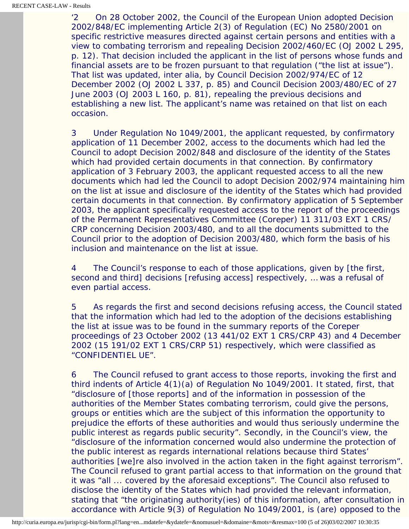'2 On 28 October 2002, the Council of the European Union adopted Decision 2002/848/EC implementing Article 2(3) of Regulation (EC) No 2580/2001 on specific restrictive measures directed against certain persons and entities with a view to combating terrorism and repealing Decision 2002/460/EC (OJ 2002 L 295, p. 12). That decision included the applicant in the list of persons whose funds and financial assets are to be frozen pursuant to that regulation ("the list at issue"). That list was updated, inter alia, by Council Decision 2002/974/EC of 12 December 2002 (OJ 2002 L 337, p. 85) and Council Decision 2003/480/EC of 27 June 2003 (OJ 2003 L 160, p. 81), repealing the previous decisions and establishing a new list. The applicant's name was retained on that list on each occasion.

3 Under Regulation No 1049/2001, the applicant requested, by confirmatory application of 11 December 2002, access to the documents which had led the Council to adopt Decision 2002/848 and disclosure of the identity of the States which had provided certain documents in that connection. By confirmatory application of 3 February 2003, the applicant requested access to all the new documents which had led the Council to adopt Decision 2002/974 maintaining him on the list at issue and disclosure of the identity of the States which had provided certain documents in that connection. By confirmatory application of 5 September 2003, the applicant specifically requested access to the report of the proceedings of the Permanent Representatives Committee (Coreper) 11 311/03 EXT 1 CRS/ CRP concerning Decision 2003/480, and to all the documents submitted to the Council prior to the adoption of Decision 2003/480, which form the basis of his inclusion and maintenance on the list at issue.

4 The Council's response to each of those applications, given by [the first, second and third] decisions [refusing access] respectively, … was a refusal of even partial access.

5 As regards the first and second decisions refusing access, the Council stated that the information which had led to the adoption of the decisions establishing the list at issue was to be found in the summary reports of the Coreper proceedings of 23 October 2002 (13 441/02 EXT 1 CRS/CRP 43) and 4 December 2002 (15 191/02 EXT 1 CRS/CRP 51) respectively, which were classified as "CONFIDENTIEL UE".

6 The Council refused to grant access to those reports, invoking the first and third indents of Article 4(1)(a) of Regulation No 1049/2001. It stated, first, that "disclosure of [those reports] and of the information in possession of the authorities of the Member States combating terrorism, could give the persons, groups or entities which are the subject of this information the opportunity to prejudice the efforts of these authorities and would thus seriously undermine the public interest as regards public security". Secondly, in the Council's view, the "disclosure of the information concerned would also undermine the protection of the public interest as regards international relations because third States' authorities [we]re also involved in the action taken in the fight against terrorism". The Council refused to grant partial access to that information on the ground that it was "all ... covered by the aforesaid exceptions". The Council also refused to disclose the identity of the States which had provided the relevant information, stating that "the originating authority(ies) of this information, after consultation in accordance with Article 9(3) of Regulation No 1049/2001, is (are) opposed to the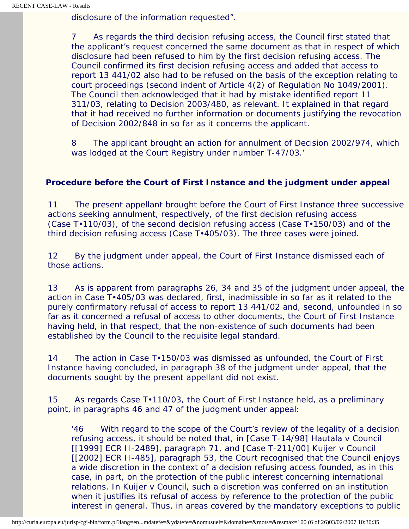disclosure of the information requested".

7 As regards the third decision refusing access, the Council first stated that the applicant's request concerned the same document as that in respect of which disclosure had been refused to him by the first decision refusing access. The Council confirmed its first decision refusing access and added that access to report 13 441/02 also had to be refused on the basis of the exception relating to court proceedings (second indent of Article 4(2) of Regulation No 1049/2001). The Council then acknowledged that it had by mistake identified report 11 311/03, relating to Decision 2003/480, as relevant. It explained in that regard that it had received no further information or documents justifying the revocation of Decision 2002/848 in so far as it concerns the applicant.

8 The applicant brought an action for annulment of Decision 2002/974, which was lodged at the Court Registry under number T-47/03.'

# **Procedure before the Court of First Instance and the judgment under appeal**

11 The present appellant brought before the Court of First Instance three successive actions seeking annulment, respectively, of the first decision refusing access (Case T•110/03), of the second decision refusing access (Case T•150/03) and of the third decision refusing access (Case T•405/03). The three cases were joined.

12 By the judgment under appeal, the Court of First Instance dismissed each of those actions.

13 As is apparent from paragraphs 26, 34 and 35 of the judgment under appeal, the action in Case T•405/03 was declared, first, inadmissible in so far as it related to the purely confirmatory refusal of access to report 13 441/02 and, second, unfounded in so far as it concerned a refusal of access to other documents, the Court of First Instance having held, in that respect, that the non-existence of such documents had been established by the Council to the requisite legal standard.

14 The action in Case T•150/03 was dismissed as unfounded, the Court of First Instance having concluded, in paragraph 38 of the judgment under appeal, that the documents sought by the present appellant did not exist.

15 As regards Case T•110/03, the Court of First Instance held, as a preliminary point, in paragraphs 46 and 47 of the judgment under appeal:

'46 With regard to the scope of the Court's review of the legality of a decision refusing access, it should be noted that, in [Case T-14/98] *Hautala* v *Council*  [[1999] ECR II-2489], paragraph 71, and [Case T-211/00] *Kuijer* v *Council* [[2002] ECR II-485], paragraph 53, the Court recognised that the Council enjoys a wide discretion in the context of a decision refusing access founded, as in this case, in part, on the protection of the public interest concerning international relations. In *Kuijer* v *Council*, such a discretion was conferred on an institution when it justifies its refusal of access by reference to the protection of the public interest in general. Thus, in areas covered by the mandatory exceptions to public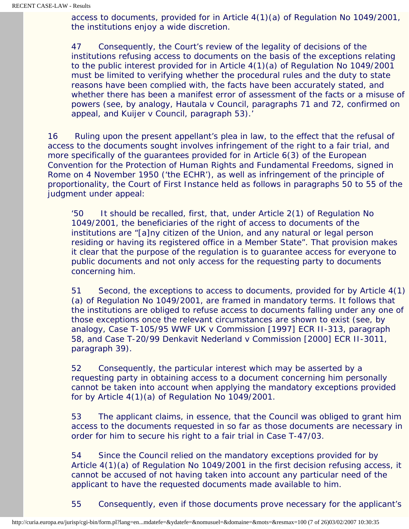access to documents, provided for in Article 4(1)(a) of Regulation No 1049/2001, the institutions enjoy a wide discretion.

47 Consequently, the Court's review of the legality of decisions of the institutions refusing access to documents on the basis of the exceptions relating to the public interest provided for in Article 4(1)(a) of Regulation No 1049/2001 must be limited to verifying whether the procedural rules and the duty to state reasons have been complied with, the facts have been accurately stated, and whether there has been a manifest error of assessment of the facts or a misuse of powers (see, by analogy, *Hautala* v *Council*, paragraphs 71 and 72, confirmed on appeal, and *Kuijer* v *Council*, paragraph 53).'

16 Ruling upon the present appellant's plea in law, to the effect that the refusal of access to the documents sought involves infringement of the right to a fair trial, and more specifically of the guarantees provided for in Article 6(3) of the European Convention for the Protection of Human Rights and Fundamental Freedoms, signed in Rome on 4 November 1950 ('the ECHR'), as well as infringement of the principle of proportionality, the Court of First Instance held as follows in paragraphs 50 to 55 of the judgment under appeal:

'50 It should be recalled, first, that, under Article 2(1) of Regulation No 1049/2001, the beneficiaries of the right of access to documents of the institutions are "[a]ny citizen of the Union, and any natural or legal person residing or having its registered office in a Member State". That provision makes it clear that the purpose of the regulation is to guarantee access for everyone to public documents and not only access for the requesting party to documents concerning him.

51 Second, the exceptions to access to documents, provided for by Article 4(1) (a) of Regulation No 1049/2001, are framed in mandatory terms. It follows that the institutions are obliged to refuse access to documents falling under any one of those exceptions once the relevant circumstances are shown to exist (see, by analogy, Case T-105/95 *WWF UK* v *Commission* [1997] ECR II-313, paragraph 58, and Case T-20/99 *Denkavit Nederland* v *Commission* [2000] ECR II-3011, paragraph 39).

52 Consequently, the particular interest which may be asserted by a requesting party in obtaining access to a document concerning him personally cannot be taken into account when applying the mandatory exceptions provided for by Article 4(1)(a) of Regulation No 1049/2001.

53 The applicant claims, in essence, that the Council was obliged to grant him access to the documents requested in so far as those documents are necessary in order for him to secure his right to a fair trial in Case T-47/03.

54 Since the Council relied on the mandatory exceptions provided for by Article 4(1)(a) of Regulation No 1049/2001 in the first decision refusing access, it cannot be accused of not having taken into account any particular need of the applicant to have the requested documents made available to him.

55 Consequently, even if those documents prove necessary for the applicant's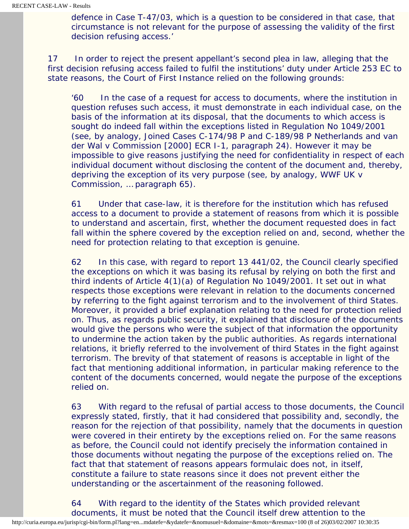defence in Case T-47/03, which is a question to be considered in that case, that circumstance is not relevant for the purpose of assessing the validity of the first decision refusing access.'

17 In order to reject the present appellant's second plea in law, alleging that the first decision refusing access failed to fulfil the institutions' duty under Article 253 EC to state reasons, the Court of First Instance relied on the following grounds:

'60 In the case of a request for access to documents, where the institution in question refuses such access, it must demonstrate in each individual case, on the basis of the information at its disposal, that the documents to which access is sought do indeed fall within the exceptions listed in Regulation No 1049/2001 (see, by analogy, Joined Cases C-174/98 P and C-189/98 P *Netherlands and van der Wal* v *Commission* [2000] ECR I-1, paragraph 24). However it may be impossible to give reasons justifying the need for confidentiality in respect of each individual document without disclosing the content of the document and, thereby, depriving the exception of its very purpose (see, by analogy, *WWF UK* v *Commission*, … paragraph 65).

61 Under that case-law, it is therefore for the institution which has refused access to a document to provide a statement of reasons from which it is possible to understand and ascertain, first, whether the document requested does in fact fall within the sphere covered by the exception relied on and, second, whether the need for protection relating to that exception is genuine.

62 In this case, with regard to report 13 441/02, the Council clearly specified the exceptions on which it was basing its refusal by relying on both the first and third indents of Article 4(1)(a) of Regulation No 1049/2001. It set out in what respects those exceptions were relevant in relation to the documents concerned by referring to the fight against terrorism and to the involvement of third States. Moreover, it provided a brief explanation relating to the need for protection relied on. Thus, as regards public security, it explained that disclosure of the documents would give the persons who were the subject of that information the opportunity to undermine the action taken by the public authorities. As regards international relations, it briefly referred to the involvement of third States in the fight against terrorism. The brevity of that statement of reasons is acceptable in light of the fact that mentioning additional information, in particular making reference to the content of the documents concerned, would negate the purpose of the exceptions relied on.

63 With regard to the refusal of partial access to those documents, the Council expressly stated, firstly, that it had considered that possibility and, secondly, the reason for the rejection of that possibility, namely that the documents in question were covered in their entirety by the exceptions relied on. For the same reasons as before, the Council could not identify precisely the information contained in those documents without negating the purpose of the exceptions relied on. The fact that that statement of reasons appears formulaic does not, in itself, constitute a failure to state reasons since it does not prevent either the understanding or the ascertainment of the reasoning followed.

64 With regard to the identity of the States which provided relevant documents, it must be noted that the Council itself drew attention to the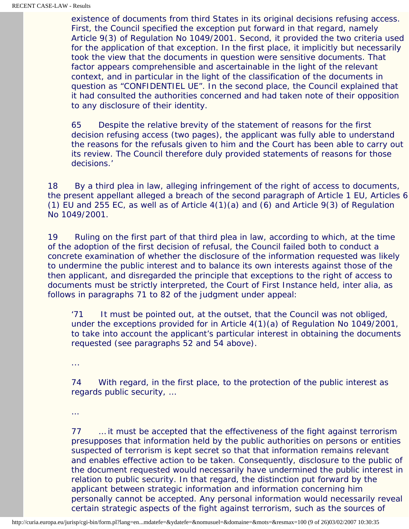existence of documents from third States in its original decisions refusing access. First, the Council specified the exception put forward in that regard, namely Article 9(3) of Regulation No 1049/2001. Second, it provided the two criteria used for the application of that exception. In the first place, it implicitly but necessarily took the view that the documents in question were sensitive documents. That factor appears comprehensible and ascertainable in the light of the relevant context, and in particular in the light of the classification of the documents in question as "CONFIDENTIEL UE". In the second place, the Council explained that it had consulted the authorities concerned and had taken note of their opposition to any disclosure of their identity.

65 Despite the relative brevity of the statement of reasons for the first decision refusing access (two pages), the applicant was fully able to understand the reasons for the refusals given to him and the Court has been able to carry out its review. The Council therefore duly provided statements of reasons for those decisions.'

18 By a third plea in law, alleging infringement of the right of access to documents, the present appellant alleged a breach of the second paragraph of Article 1 EU, Articles 6 (1) EU and 255 EC, as well as of Article 4(1)(a) and (6) and Article 9(3) of Regulation No 1049/2001.

19 Ruling on the first part of that third plea in law, according to which, at the time of the adoption of the first decision of refusal, the Council failed both to conduct a concrete examination of whether the disclosure of the information requested was likely to undermine the public interest and to balance its own interests against those of the then applicant, and disregarded the principle that exceptions to the right of access to documents must be strictly interpreted, the Court of First Instance held, inter alia, as follows in paragraphs 71 to 82 of the judgment under appeal:

'71 It must be pointed out, at the outset, that the Council was not obliged, under the exceptions provided for in Article 4(1)(a) of Regulation No 1049/2001, to take into account the applicant's particular interest in obtaining the documents requested (see paragraphs 52 and 54 above).

...

74 With regard, in the first place, to the protection of the public interest as regards public security, …

…

77 … it must be accepted that the effectiveness of the fight against terrorism presupposes that information held by the public authorities on persons or entities suspected of terrorism is kept secret so that that information remains relevant and enables effective action to be taken. Consequently, disclosure to the public of the document requested would necessarily have undermined the public interest in relation to public security. In that regard, the distinction put forward by the applicant between strategic information and information concerning him personally cannot be accepted. Any personal information would necessarily reveal certain strategic aspects of the fight against terrorism, such as the sources of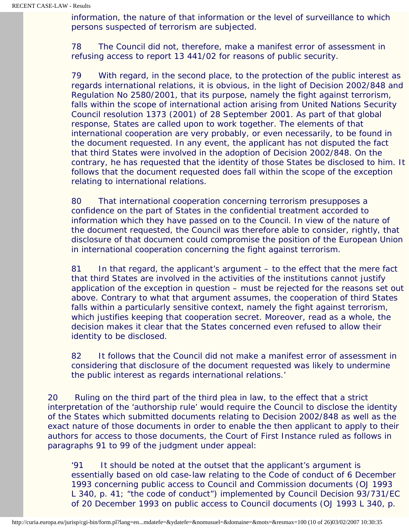information, the nature of that information or the level of surveillance to which persons suspected of terrorism are subjected.

78 The Council did not, therefore, make a manifest error of assessment in refusing access to report 13 441/02 for reasons of public security.

79 With regard, in the second place, to the protection of the public interest as regards international relations, it is obvious, in the light of Decision 2002/848 and Regulation No 2580/2001, that its purpose, namely the fight against terrorism, falls within the scope of international action arising from United Nations Security Council resolution 1373 (2001) of 28 September 2001. As part of that global response, States are called upon to work together. The elements of that international cooperation are very probably, or even necessarily, to be found in the document requested. In any event, the applicant has not disputed the fact that third States were involved in the adoption of Decision 2002/848. On the contrary, he has requested that the identity of those States be disclosed to him. It follows that the document requested does fall within the scope of the exception relating to international relations.

80 That international cooperation concerning terrorism presupposes a confidence on the part of States in the confidential treatment accorded to information which they have passed on to the Council. In view of the nature of the document requested, the Council was therefore able to consider, rightly, that disclosure of that document could compromise the position of the European Union in international cooperation concerning the fight against terrorism.

81 In that regard, the applicant's argument – to the effect that the mere fact that third States are involved in the activities of the institutions cannot justify application of the exception in question – must be rejected for the reasons set out above. Contrary to what that argument assumes, the cooperation of third States falls within a particularly sensitive context, namely the fight against terrorism, which justifies keeping that cooperation secret. Moreover, read as a whole, the decision makes it clear that the States concerned even refused to allow their identity to be disclosed.

82 It follows that the Council did not make a manifest error of assessment in considering that disclosure of the document requested was likely to undermine the public interest as regards international relations.'

20 Ruling on the third part of the third plea in law, to the effect that a strict interpretation of the 'authorship rule' would require the Council to disclose the identity of the States which submitted documents relating to Decision 2002/848 as well as the exact nature of those documents in order to enable the then applicant to apply to their authors for access to those documents, the Court of First Instance ruled as follows in paragraphs 91 to 99 of the judgment under appeal:

'91 It should be noted at the outset that the applicant's argument is essentially based on old case-law relating to the Code of conduct of 6 December 1993 concerning public access to Council and Commission documents (OJ 1993 L 340, p. 41; "the code of conduct") implemented by Council Decision 93/731/EC of 20 December 1993 on public access to Council documents (OJ 1993 L 340, p.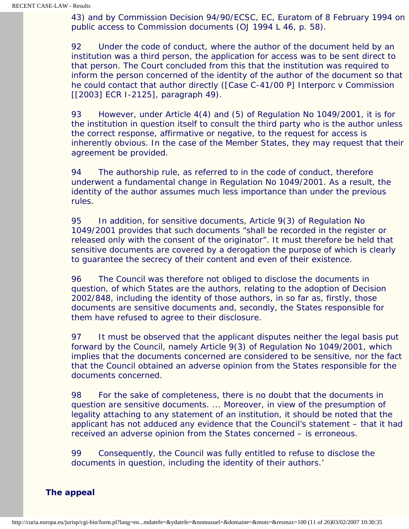43) and by Commission Decision 94/90/ECSC, EC, Euratom of 8 February 1994 on public access to Commission documents (OJ 1994 L 46, p. 58).

92 Under the code of conduct, where the author of the document held by an institution was a third person, the application for access was to be sent direct to that person. The Court concluded from this that the institution was required to inform the person concerned of the identity of the author of the document so that he could contact that author directly ([Case C-41/00 P] *Interporc* v *Commission* [[2003] ECR I-2125], paragraph 49).

93 However, under Article 4(4) and (5) of Regulation No 1049/2001, it is for the institution in question itself to consult the third party who is the author unless the correct response, affirmative or negative, to the request for access is inherently obvious. In the case of the Member States, they may request that their agreement be provided.

94 The authorship rule, as referred to in the code of conduct, therefore underwent a fundamental change in Regulation No 1049/2001. As a result, the identity of the author assumes much less importance than under the previous rules.

95 In addition, for sensitive documents, Article 9(3) of Regulation No 1049/2001 provides that such documents "shall be recorded in the register or released only with the consent of the originator". It must therefore be held that sensitive documents are covered by a derogation the purpose of which is clearly to guarantee the secrecy of their content and even of their existence.

96 The Council was therefore not obliged to disclose the documents in question, of which States are the authors, relating to the adoption of Decision 2002/848, including the identity of those authors, in so far as, firstly, those documents are sensitive documents and, secondly, the States responsible for them have refused to agree to their disclosure.

97 It must be observed that the applicant disputes neither the legal basis put forward by the Council, namely Article 9(3) of Regulation No 1049/2001, which implies that the documents concerned are considered to be sensitive, nor the fact that the Council obtained an adverse opinion from the States responsible for the documents concerned.

98 For the sake of completeness, there is no doubt that the documents in question are sensitive documents. ... Moreover, in view of the presumption of legality attaching to any statement of an institution, it should be noted that the applicant has not adduced any evidence that the Council's statement – that it had received an adverse opinion from the States concerned – is erroneous.

99 Consequently, the Council was fully entitled to refuse to disclose the documents in question, including the identity of their authors.'

 **The appeal**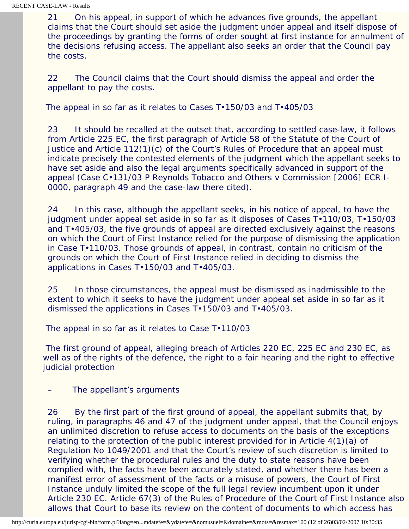21 On his appeal, in support of which he advances five grounds, the appellant claims that the Court should set aside the judgment under appeal and itself dispose of the proceedings by granting the forms of order sought at first instance for annulment of the decisions refusing access. The appellant also seeks an order that the Council pay the costs.

22 The Council claims that the Court should dismiss the appeal and order the appellant to pay the costs.

#### *The appeal in so far as it relates to Cases T•150/03 and T•405/03*

23 It should be recalled at the outset that, according to settled case-law, it follows from Article 225 EC, the first paragraph of Article 58 of the Statute of the Court of Justice and Article 112(1)(c) of the Court's Rules of Procedure that an appeal must indicate precisely the contested elements of the judgment which the appellant seeks to have set aside and also the legal arguments specifically advanced in support of the appeal (Case C•131/03 P *Reynolds Tobacco and Others* v *Commission* [2006] ECR I-0000, paragraph 49 and the case-law there cited).

24 In this case, although the appellant seeks, in his notice of appeal, to have the judgment under appeal set aside in so far as it disposes of Cases T•110/03, T•150/03 and T•405/03, the five grounds of appeal are directed exclusively against the reasons on which the Court of First Instance relied for the purpose of dismissing the application in Case T•110/03. Those grounds of appeal, in contrast, contain no criticism of the grounds on which the Court of First Instance relied in deciding to dismiss the applications in Cases T•150/03 and T•405/03.

25 In those circumstances, the appeal must be dismissed as inadmissible to the extent to which it seeks to have the judgment under appeal set aside in so far as it dismissed the applications in Cases T•150/03 and T•405/03.

 *The appeal in so far as it relates to Case T•110/03*

 The first ground of appeal, alleging breach of Articles 220 EC, 225 EC and 230 EC, as well as of the rights of the defence, the right to a fair hearing and the right to effective judicial protection

The appellant's arguments

26 By the first part of the first ground of appeal, the appellant submits that, by ruling, in paragraphs 46 and 47 of the judgment under appeal, that the Council enjoys an unlimited discretion to refuse access to documents on the basis of the exceptions relating to the protection of the public interest provided for in Article 4(1)(a) of Regulation No 1049/2001 and that the Court's review of such discretion is limited to verifying whether the procedural rules and the duty to state reasons have been complied with, the facts have been accurately stated, and whether there has been a manifest error of assessment of the facts or a misuse of powers, the Court of First Instance unduly limited the scope of the full legal review incumbent upon it under Article 230 EC. Article 67(3) of the Rules of Procedure of the Court of First Instance also allows that Court to base its review on the content of documents to which access has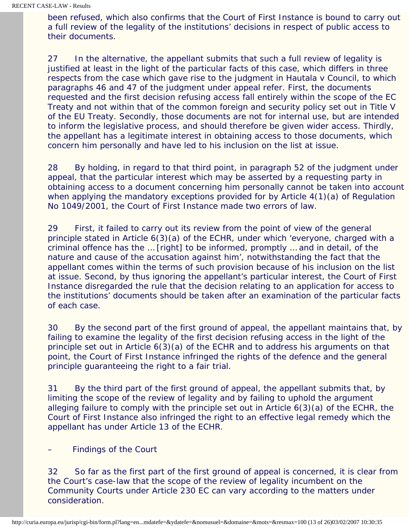been refused, which also confirms that the Court of First Instance is bound to carry out a full review of the legality of the institutions' decisions in respect of public access to their documents.

27 In the alternative, the appellant submits that such a full review of legality is justified at least in the light of the particular facts of this case, which differs in three respects from the case which gave rise to the judgment in *Hautala* v *Council*, to which paragraphs 46 and 47 of the judgment under appeal refer. First, the documents requested and the first decision refusing access fall entirely within the scope of the EC Treaty and not within that of the common foreign and security policy set out in Title V of the EU Treaty. Secondly, those documents are not for internal use, but are intended to inform the legislative process, and should therefore be given wider access. Thirdly, the appellant has a legitimate interest in obtaining access to those documents, which concern him personally and have led to his inclusion on the list at issue.

28 By holding, in regard to that third point, in paragraph 52 of the judgment under appeal, that the particular interest which may be asserted by a requesting party in obtaining access to a document concerning him personally cannot be taken into account when applying the mandatory exceptions provided for by Article 4(1)(a) of Regulation No 1049/2001, the Court of First Instance made two errors of law.

29 First, it failed to carry out its review from the point of view of the general principle stated in Article 6(3)(a) of the ECHR, under which 'everyone, charged with a criminal offence has the … [right] to be informed, promptly … and in detail, of the nature and cause of the accusation against him', notwithstanding the fact that the appellant comes within the terms of such provision because of his inclusion on the list at issue. Second, by thus ignoring the appellant's particular interest, the Court of First Instance disregarded the rule that the decision relating to an application for access to the institutions' documents should be taken after an examination of the particular facts of each case.

30 By the second part of the first ground of appeal, the appellant maintains that, by failing to examine the legality of the first decision refusing access in the light of the principle set out in Article 6(3)(a) of the ECHR and to address his arguments on that point, the Court of First Instance infringed the rights of the defence and the general principle guaranteeing the right to a fair trial.

31 By the third part of the first ground of appeal, the appellant submits that, by limiting the scope of the review of legality and by failing to uphold the argument alleging failure to comply with the principle set out in Article 6(3)(a) of the ECHR, the Court of First Instance also infringed the right to an effective legal remedy which the appellant has under Article 13 of the ECHR.

– Findings of the Court

32 So far as the first part of the first ground of appeal is concerned, it is clear from the Court's case-law that the scope of the review of legality incumbent on the Community Courts under Article 230 EC can vary according to the matters under consideration.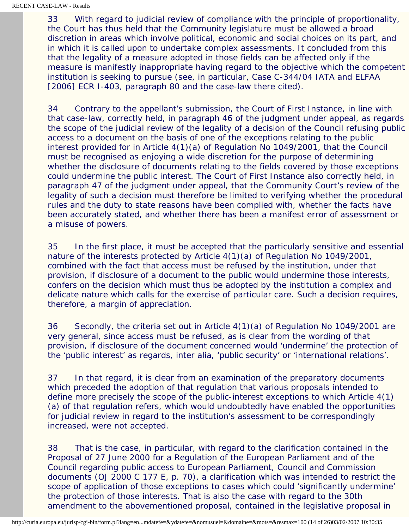33 With regard to judicial review of compliance with the principle of proportionality, the Court has thus held that the Community legislature must be allowed a broad discretion in areas which involve political, economic and social choices on its part, and in which it is called upon to undertake complex assessments. It concluded from this that the legality of a measure adopted in those fields can be affected only if the measure is manifestly inappropriate having regard to the objective which the competent institution is seeking to pursue (see, in particular, Case C-344/04 *IATA and ELFAA* [2006] ECR I-403, paragraph 80 and the case-law there cited).

34 Contrary to the appellant's submission, the Court of First Instance, in line with that case-law, correctly held, in paragraph 46 of the judgment under appeal, as regards the scope of the judicial review of the legality of a decision of the Council refusing public access to a document on the basis of one of the exceptions relating to the public interest provided for in Article 4(1)(a) of Regulation No 1049/2001, that the Council must be recognised as enjoying a wide discretion for the purpose of determining whether the disclosure of documents relating to the fields covered by those exceptions could undermine the public interest. The Court of First Instance also correctly held, in paragraph 47 of the judgment under appeal, that the Community Court's review of the legality of such a decision must therefore be limited to verifying whether the procedural rules and the duty to state reasons have been complied with, whether the facts have been accurately stated, and whether there has been a manifest error of assessment or a misuse of powers.

35 In the first place, it must be accepted that the particularly sensitive and essential nature of the interests protected by Article 4(1)(a) of Regulation No 1049/2001, combined with the fact that access must be refused by the institution, under that provision, if disclosure of a document to the public would undermine those interests, confers on the decision which must thus be adopted by the institution a complex and delicate nature which calls for the exercise of particular care. Such a decision requires, therefore, a margin of appreciation.

36 Secondly, the criteria set out in Article 4(1)(a) of Regulation No 1049/2001 are very general, since access must be refused, as is clear from the wording of that provision, if disclosure of the document concerned would 'undermine' the protection of the 'public interest' as regards, inter alia, 'public security' or 'international relations'.

37 In that regard, it is clear from an examination of the preparatory documents which preceded the adoption of that regulation that various proposals intended to define more precisely the scope of the public-interest exceptions to which Article 4(1) (a) of that regulation refers, which would undoubtedly have enabled the opportunities for judicial review in regard to the institution's assessment to be correspondingly increased, were not accepted.

38 That is the case, in particular, with regard to the clarification contained in the Proposal of 27 June 2000 for a Regulation of the European Parliament and of the Council regarding public access to European Parliament, Council and Commission documents (OJ 2000 C 177 E, p. 70), a clarification which was intended to restrict the scope of application of those exceptions to cases which could 'significantly undermine' the protection of those interests. That is also the case with regard to the 30th amendment to the abovementioned proposal, contained in the legislative proposal in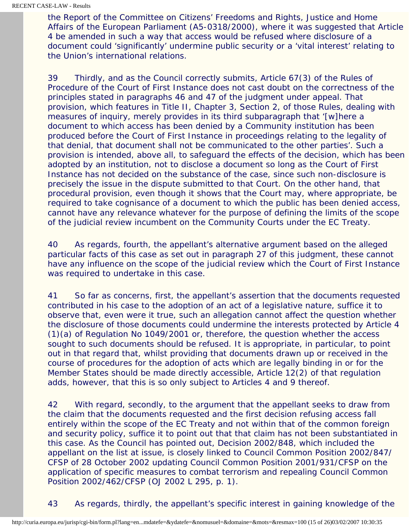the Report of the Committee on Citizens' Freedoms and Rights, Justice and Home Affairs of the European Parliament (A5-0318/2000), where it was suggested that Article 4 be amended in such a way that access would be refused where disclosure of a document could 'significantly' undermine public security or a 'vital interest' relating to the Union's international relations.

39 Thirdly, and as the Council correctly submits, Article 67(3) of the Rules of Procedure of the Court of First Instance does not cast doubt on the correctness of the principles stated in paragraphs 46 and 47 of the judgment under appeal. That provision, which features in Title II, Chapter 3, Section 2, of those Rules, dealing with measures of inquiry, merely provides in its third subparagraph that '[w]here a document to which access has been denied by a Community institution has been produced before the Court of First Instance in proceedings relating to the legality of that denial, that document shall not be communicated to the other parties'. Such a provision is intended, above all, to safeguard the effects of the decision, which has been adopted by an institution, not to disclose a document so long as the Court of First Instance has not decided on the substance of the case, since such non-disclosure is precisely the issue in the dispute submitted to that Court. On the other hand, that procedural provision, even though it shows that the Court may, where appropriate, be required to take cognisance of a document to which the public has been denied access, cannot have any relevance whatever for the purpose of defining the limits of the scope of the judicial review incumbent on the Community Courts under the EC Treaty.

40 As regards, fourth, the appellant's alternative argument based on the alleged particular facts of this case as set out in paragraph 27 of this judgment, these cannot have any influence on the scope of the judicial review which the Court of First Instance was required to undertake in this case.

41 So far as concerns, first, the appellant's assertion that the documents requested contributed in his case to the adoption of an act of a legislative nature, suffice it to observe that, even were it true, such an allegation cannot affect the question whether the disclosure of those documents could undermine the interests protected by Article 4 (1)(a) of Regulation No 1049/2001 or, therefore, the question whether the access sought to such documents should be refused. It is appropriate, in particular, to point out in that regard that, whilst providing that documents drawn up or received in the course of procedures for the adoption of acts which are legally binding in or for the Member States should be made directly accessible, Article 12(2) of that regulation adds, however, that this is so only subject to Articles 4 and 9 thereof.

42 With regard, secondly, to the argument that the appellant seeks to draw from the claim that the documents requested and the first decision refusing access fall entirely within the scope of the EC Treaty and not within that of the common foreign and security policy, suffice it to point out that that claim has not been substantiated in this case. As the Council has pointed out, Decision 2002/848, which included the appellant on the list at issue, is closely linked to Council Common Position 2002/847/ CFSP of 28 October 2002 updating Council Common Position 2001/931/CFSP on the application of specific measures to combat terrorism and repealing Council Common Position 2002/462/CFSP (OJ 2002 L 295, p. 1).

43 As regards, thirdly, the appellant's specific interest in gaining knowledge of the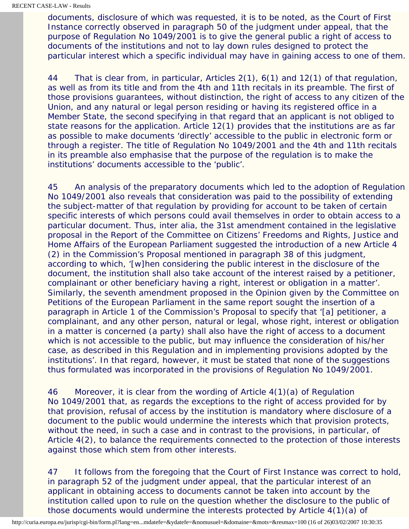documents, disclosure of which was requested, it is to be noted, as the Court of First Instance correctly observed in paragraph 50 of the judgment under appeal, that the purpose of Regulation No 1049/2001 is to give the general public a right of access to documents of the institutions and not to lay down rules designed to protect the particular interest which a specific individual may have in gaining access to one of them.

44 That is clear from, in particular, Articles 2(1), 6(1) and 12(1) of that regulation, as well as from its title and from the 4th and 11th recitals in its preamble. The first of those provisions guarantees, without distinction, the right of access to any citizen of the Union, and any natural or legal person residing or having its registered office in a Member State, the second specifying in that regard that an applicant is not obliged to state reasons for the application. Article 12(1) provides that the institutions are as far as possible to make documents 'directly' accessible to the public in electronic form or through a register. The title of Regulation No 1049/2001 and the 4th and 11th recitals in its preamble also emphasise that the purpose of the regulation is to make the institutions' documents accessible to the 'public'.

45 An analysis of the preparatory documents which led to the adoption of Regulation No 1049/2001 also reveals that consideration was paid to the possibility of extending the subject-matter of that regulation by providing for account to be taken of certain specific interests of which persons could avail themselves in order to obtain access to a particular document. Thus, inter alia, the 31st amendment contained in the legislative proposal in the Report of the Committee on Citizens' Freedoms and Rights, Justice and Home Affairs of the European Parliament suggested the introduction of a new Article 4 (2) in the Commission's Proposal mentioned in paragraph 38 of this judgment, according to which, '[w]hen considering the public interest in the disclosure of the document, the institution shall also take account of the interest raised by a petitioner, complainant or other beneficiary having a right, interest or obligation in a matter'. Similarly, the seventh amendment proposed in the Opinion given by the Committee on Petitions of the European Parliament in the same report sought the insertion of a paragraph in Article 1 of the Commission's Proposal to specify that '[a] petitioner, a complainant, and any other person, natural or legal, whose right, interest or obligation in a matter is concerned (a party) shall also have the right of access to a document which is not accessible to the public, but may influence the consideration of his/her case, as described in this Regulation and in implementing provisions adopted by the institutions'. In that regard, however, it must be stated that none of the suggestions thus formulated was incorporated in the provisions of Regulation No 1049/2001.

46 Moreover, it is clear from the wording of Article 4(1)(a) of Regulation No 1049/2001 that, as regards the exceptions to the right of access provided for by that provision, refusal of access by the institution is mandatory where disclosure of a document to the public would undermine the interests which that provision protects, without the need, in such a case and in contrast to the provisions, in particular, of Article 4(2), to balance the requirements connected to the protection of those interests against those which stem from other interests.

47 It follows from the foregoing that the Court of First Instance was correct to hold, in paragraph 52 of the judgment under appeal, that the particular interest of an applicant in obtaining access to documents cannot be taken into account by the institution called upon to rule on the question whether the disclosure to the public of those documents would undermine the interests protected by Article 4(1)(a) of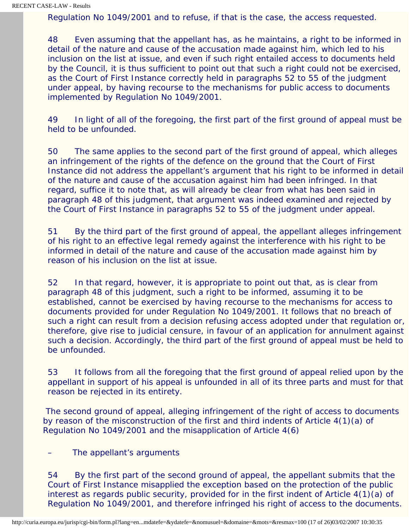Regulation No 1049/2001 and to refuse, if that is the case, the access requested.

48 Even assuming that the appellant has, as he maintains, a right to be informed in detail of the nature and cause of the accusation made against him, which led to his inclusion on the list at issue, and even if such right entailed access to documents held by the Council, it is thus sufficient to point out that such a right could not be exercised, as the Court of First Instance correctly held in paragraphs 52 to 55 of the judgment under appeal, by having recourse to the mechanisms for public access to documents implemented by Regulation No 1049/2001.

49 In light of all of the foregoing, the first part of the first ground of appeal must be held to be unfounded.

50 The same applies to the second part of the first ground of appeal, which alleges an infringement of the rights of the defence on the ground that the Court of First Instance did not address the appellant's argument that his right to be informed in detail of the nature and cause of the accusation against him had been infringed. In that regard, suffice it to note that, as will already be clear from what has been said in paragraph 48 of this judgment, that argument was indeed examined and rejected by the Court of First Instance in paragraphs 52 to 55 of the judgment under appeal.

51 By the third part of the first ground of appeal, the appellant alleges infringement of his right to an effective legal remedy against the interference with his right to be informed in detail of the nature and cause of the accusation made against him by reason of his inclusion on the list at issue.

52 In that regard, however, it is appropriate to point out that, as is clear from paragraph 48 of this judgment, such a right to be informed, assuming it to be established, cannot be exercised by having recourse to the mechanisms for access to documents provided for under Regulation No 1049/2001. It follows that no breach of such a right can result from a decision refusing access adopted under that regulation or, therefore, give rise to judicial censure, in favour of an application for annulment against such a decision. Accordingly, the third part of the first ground of appeal must be held to be unfounded.

53 It follows from all the foregoing that the first ground of appeal relied upon by the appellant in support of his appeal is unfounded in all of its three parts and must for that reason be rejected in its entirety.

 The second ground of appeal, alleging infringement of the right of access to documents by reason of the misconstruction of the first and third indents of Article 4(1)(a) of Regulation No 1049/2001 and the misapplication of Article 4(6)

– The appellant's arguments

54 By the first part of the second ground of appeal, the appellant submits that the Court of First Instance misapplied the exception based on the protection of the public interest as regards public security, provided for in the first indent of Article 4(1)(a) of Regulation No 1049/2001, and therefore infringed his right of access to the documents.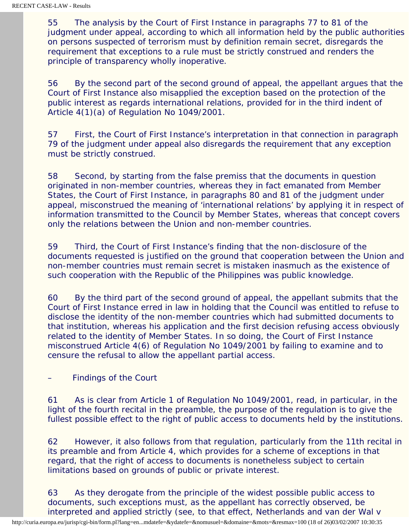55 The analysis by the Court of First Instance in paragraphs 77 to 81 of the judgment under appeal, according to which all information held by the public authorities on persons suspected of terrorism must by definition remain secret, disregards the requirement that exceptions to a rule must be strictly construed and renders the principle of transparency wholly inoperative.

56 By the second part of the second ground of appeal, the appellant argues that the Court of First Instance also misapplied the exception based on the protection of the public interest as regards international relations, provided for in the third indent of Article 4(1)(a) of Regulation No 1049/2001.

57 First, the Court of First Instance's interpretation in that connection in paragraph 79 of the judgment under appeal also disregards the requirement that any exception must be strictly construed.

58 Second, by starting from the false premiss that the documents in question originated in non-member countries, whereas they in fact emanated from Member States, the Court of First Instance, in paragraphs 80 and 81 of the judgment under appeal, misconstrued the meaning of 'international relations' by applying it in respect of information transmitted to the Council by Member States, whereas that concept covers only the relations between the Union and non-member countries.

59 Third, the Court of First Instance's finding that the non-disclosure of the documents requested is justified on the ground that cooperation between the Union and non-member countries must remain secret is mistaken inasmuch as the existence of such cooperation with the Republic of the Philippines was public knowledge.

60 By the third part of the second ground of appeal, the appellant submits that the Court of First Instance erred in law in holding that the Council was entitled to refuse to disclose the identity of the non-member countries which had submitted documents to that institution, whereas his application and the first decision refusing access obviously related to the identity of Member States. In so doing, the Court of First Instance misconstrued Article 4(6) of Regulation No 1049/2001 by failing to examine and to censure the refusal to allow the appellant partial access.

– Findings of the Court

61 As is clear from Article 1 of Regulation No 1049/2001, read, in particular, in the light of the fourth recital in the preamble, the purpose of the regulation is to give the fullest possible effect to the right of public access to documents held by the institutions.

62 However, it also follows from that regulation, particularly from the 11th recital in its preamble and from Article 4, which provides for a scheme of exceptions in that regard, that the right of access to documents is nonetheless subject to certain limitations based on grounds of public or private interest.

63 As they derogate from the principle of the widest possible public access to documents, such exceptions must, as the appellant has correctly observed, be interpreted and applied strictly (see, to that effect, *Netherlands and van der Wal* v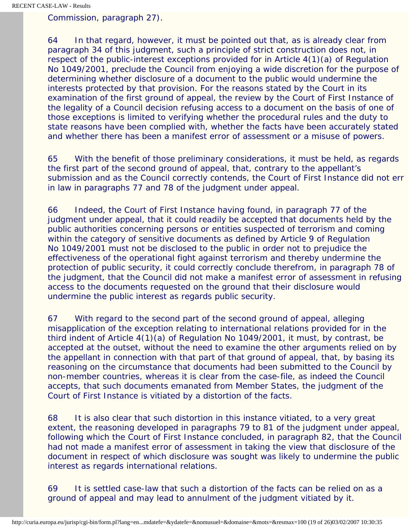*Commission*, paragraph 27).

64 In that regard, however, it must be pointed out that, as is already clear from paragraph 34 of this judgment, such a principle of strict construction does not, in respect of the public-interest exceptions provided for in Article 4(1)(a) of Regulation No 1049/2001, preclude the Council from enjoying a wide discretion for the purpose of determining whether disclosure of a document to the public would undermine the interests protected by that provision. For the reasons stated by the Court in its examination of the first ground of appeal, the review by the Court of First Instance of the legality of a Council decision refusing access to a document on the basis of one of those exceptions is limited to verifying whether the procedural rules and the duty to state reasons have been complied with, whether the facts have been accurately stated and whether there has been a manifest error of assessment or a misuse of powers.

65 With the benefit of those preliminary considerations, it must be held, as regards the first part of the second ground of appeal, that, contrary to the appellant's submission and as the Council correctly contends, the Court of First Instance did not err in law in paragraphs 77 and 78 of the judgment under appeal.

66 Indeed, the Court of First Instance having found, in paragraph 77 of the judgment under appeal, that it could readily be accepted that documents held by the public authorities concerning persons or entities suspected of terrorism and coming within the category of sensitive documents as defined by Article 9 of Regulation No 1049/2001 must not be disclosed to the public in order not to prejudice the effectiveness of the operational fight against terrorism and thereby undermine the protection of public security, it could correctly conclude therefrom, in paragraph 78 of the judgment, that the Council did not make a manifest error of assessment in refusing access to the documents requested on the ground that their disclosure would undermine the public interest as regards public security.

67 With regard to the second part of the second ground of appeal, alleging misapplication of the exception relating to international relations provided for in the third indent of Article 4(1)(a) of Regulation No 1049/2001, it must, by contrast, be accepted at the outset, without the need to examine the other arguments relied on by the appellant in connection with that part of that ground of appeal, that, by basing its reasoning on the circumstance that documents had been submitted to the Council by non-member countries, whereas it is clear from the case-file, as indeed the Council accepts, that such documents emanated from Member States, the judgment of the Court of First Instance is vitiated by a distortion of the facts.

68 It is also clear that such distortion in this instance vitiated, to a very great extent, the reasoning developed in paragraphs 79 to 81 of the judgment under appeal, following which the Court of First Instance concluded, in paragraph 82, that the Council had not made a manifest error of assessment in taking the view that disclosure of the document in respect of which disclosure was sought was likely to undermine the public interest as regards international relations.

69 It is settled case-law that such a distortion of the facts can be relied on as a ground of appeal and may lead to annulment of the judgment vitiated by it.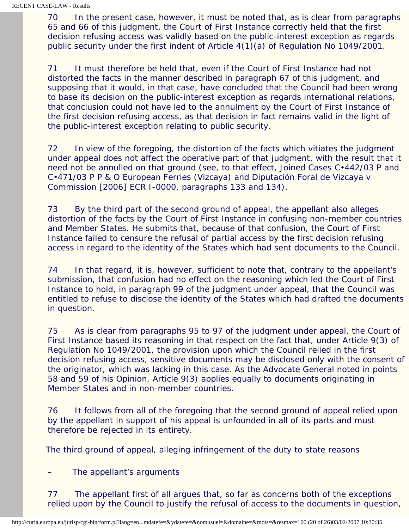70 In the present case, however, it must be noted that, as is clear from paragraphs 65 and 66 of this judgment, the Court of First Instance correctly held that the first decision refusing access was validly based on the public-interest exception as regards public security under the first indent of Article 4(1)(a) of Regulation No 1049/2001.

71 It must therefore be held that, even if the Court of First Instance had not distorted the facts in the manner described in paragraph 67 of this judgment, and supposing that it would, in that case, have concluded that the Council had been wrong to base its decision on the public-interest exception as regards international relations, that conclusion could not have led to the annulment by the Court of First Instance of the first decision refusing access, as that decision in fact remains valid in the light of the public-interest exception relating to public security.

72 In view of the foregoing, the distortion of the facts which vitiates the judgment under appeal does not affect the operative part of that judgment, with the result that it need not be annulled on that ground (see, to that effect, Joined Cases C•442/03 P and C•471/03 P *P & O European Ferries (Vizcaya) and Diputación Foral de Vizcaya* v *Commission* [2006] ECR I-0000, paragraphs 133 and 134).

73 By the third part of the second ground of appeal, the appellant also alleges distortion of the facts by the Court of First Instance in confusing non-member countries and Member States. He submits that, because of that confusion, the Court of First Instance failed to censure the refusal of partial access by the first decision refusing access in regard to the identity of the States which had sent documents to the Council.

74 In that regard, it is, however, sufficient to note that, contrary to the appellant's submission, that confusion had no effect on the reasoning which led the Court of First Instance to hold, in paragraph 99 of the judgment under appeal, that the Council was entitled to refuse to disclose the identity of the States which had drafted the documents in question.

75 As is clear from paragraphs 95 to 97 of the judgment under appeal, the Court of First Instance based its reasoning in that respect on the fact that, under Article 9(3) of Regulation No 1049/2001, the provision upon which the Council relied in the first decision refusing access, sensitive documents may be disclosed only with the consent of the originator, which was lacking in this case. As the Advocate General noted in points 58 and 59 of his Opinion, Article 9(3) applies equally to documents originating in Member States and in non-member countries.

76 It follows from all of the foregoing that the second ground of appeal relied upon by the appellant in support of his appeal is unfounded in all of its parts and must therefore be rejected in its entirety.

The third ground of appeal, alleging infringement of the duty to state reasons

– The appellant's arguments

77 The appellant first of all argues that, so far as concerns both of the exceptions relied upon by the Council to justify the refusal of access to the documents in question,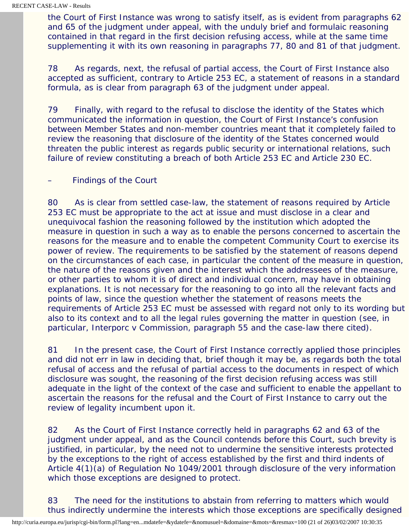the Court of First Instance was wrong to satisfy itself, as is evident from paragraphs 62 and 65 of the judgment under appeal, with the unduly brief and formulaic reasoning contained in that regard in the first decision refusing access, while at the same time supplementing it with its own reasoning in paragraphs 77, 80 and 81 of that judgment.

78 As regards, next, the refusal of partial access, the Court of First Instance also accepted as sufficient, contrary to Article 253 EC, a statement of reasons in a standard formula, as is clear from paragraph 63 of the judgment under appeal.

79 Finally, with regard to the refusal to disclose the identity of the States which communicated the information in question, the Court of First Instance's confusion between Member States and non-member countries meant that it completely failed to review the reasoning that disclosure of the identity of the States concerned would threaten the public interest as regards public security or international relations, such failure of review constituting a breach of both Article 253 EC and Article 230 EC.

# – Findings of the Court

80 As is clear from settled case-law, the statement of reasons required by Article 253 EC must be appropriate to the act at issue and must disclose in a clear and unequivocal fashion the reasoning followed by the institution which adopted the measure in question in such a way as to enable the persons concerned to ascertain the reasons for the measure and to enable the competent Community Court to exercise its power of review. The requirements to be satisfied by the statement of reasons depend on the circumstances of each case, in particular the content of the measure in question, the nature of the reasons given and the interest which the addressees of the measure, or other parties to whom it is of direct and individual concern, may have in obtaining explanations. It is not necessary for the reasoning to go into all the relevant facts and points of law, since the question whether the statement of reasons meets the requirements of Article 253 EC must be assessed with regard not only to its wording but also to its context and to all the legal rules governing the matter in question (see, in particular, *Interporc* v *Commission*, paragraph 55 and the case-law there cited).

81 In the present case, the Court of First Instance correctly applied those principles and did not err in law in deciding that, brief though it may be, as regards both the total refusal of access and the refusal of partial access to the documents in respect of which disclosure was sought, the reasoning of the first decision refusing access was still adequate in the light of the context of the case and sufficient to enable the appellant to ascertain the reasons for the refusal and the Court of First Instance to carry out the review of legality incumbent upon it.

82 As the Court of First Instance correctly held in paragraphs 62 and 63 of the judgment under appeal, and as the Council contends before this Court, such brevity is justified, in particular, by the need not to undermine the sensitive interests protected by the exceptions to the right of access established by the first and third indents of Article 4(1)(a) of Regulation No 1049/2001 through disclosure of the very information which those exceptions are designed to protect.

83 The need for the institutions to abstain from referring to matters which would thus indirectly undermine the interests which those exceptions are specifically designed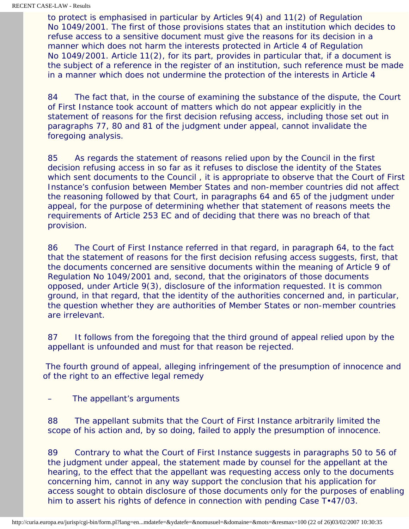to protect is emphasised in particular by Articles 9(4) and 11(2) of Regulation No 1049/2001. The first of those provisions states that an institution which decides to refuse access to a sensitive document must give the reasons for its decision in a manner which does not harm the interests protected in Article 4 of Regulation No 1049/2001. Article 11(2), for its part, provides in particular that, if a document is the subject of a reference in the register of an institution, such reference must be made in a manner which does not undermine the protection of the interests in Article 4

84 The fact that, in the course of examining the substance of the dispute, the Court of First Instance took account of matters which do not appear explicitly in the statement of reasons for the first decision refusing access, including those set out in paragraphs 77, 80 and 81 of the judgment under appeal, cannot invalidate the foregoing analysis.

85 As regards the statement of reasons relied upon by the Council in the first decision refusing access in so far as it refuses to disclose the identity of the States which sent documents to the Council , it is appropriate to observe that the Court of First Instance's confusion between Member States and non-member countries did not affect the reasoning followed by that Court, in paragraphs 64 and 65 of the judgment under appeal, for the purpose of determining whether that statement of reasons meets the requirements of Article 253 EC and of deciding that there was no breach of that provision.

86 The Court of First Instance referred in that regard, in paragraph 64, to the fact that the statement of reasons for the first decision refusing access suggests, first, that the documents concerned are sensitive documents within the meaning of Article 9 of Regulation No 1049/2001 and, second, that the originators of those documents opposed, under Article 9(3), disclosure of the information requested. It is common ground, in that regard, that the identity of the authorities concerned and, in particular, the question whether they are authorities of Member States or non-member countries are irrelevant.

87 It follows from the foregoing that the third ground of appeal relied upon by the appellant is unfounded and must for that reason be rejected.

 The fourth ground of appeal, alleging infringement of the presumption of innocence and of the right to an effective legal remedy

– The appellant's arguments

88 The appellant submits that the Court of First Instance arbitrarily limited the scope of his action and, by so doing, failed to apply the presumption of innocence.

89 Contrary to what the Court of First Instance suggests in paragraphs 50 to 56 of the judgment under appeal, the statement made by counsel for the appellant at the hearing, to the effect that the appellant was requesting access only to the documents concerning him, cannot in any way support the conclusion that his application for access sought to obtain disclosure of those documents only for the purposes of enabling him to assert his rights of defence in connection with pending Case T•47/03.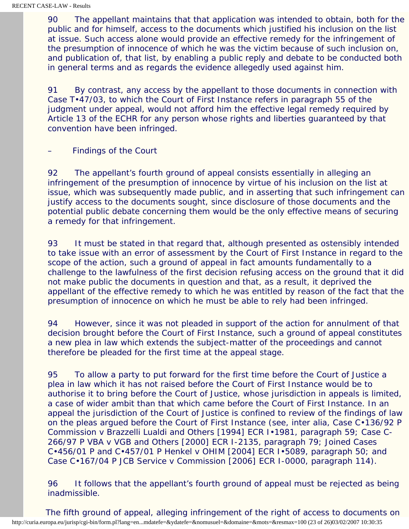90 The appellant maintains that that application was intended to obtain, both for the public and for himself, access to the documents which justified his inclusion on the list at issue. Such access alone would provide an effective remedy for the infringement of the presumption of innocence of which he was the victim because of such inclusion on, and publication of, that list, by enabling a public reply and debate to be conducted both in general terms and as regards the evidence allegedly used against him.

91 By contrast, any access by the appellant to those documents in connection with Case T•47/03, to which the Court of First Instance refers in paragraph 55 of the judgment under appeal, would not afford him the effective legal remedy required by Article 13 of the ECHR for any person whose rights and liberties guaranteed by that convention have been infringed.

– Findings of the Court

92 The appellant's fourth ground of appeal consists essentially in alleging an infringement of the presumption of innocence by virtue of his inclusion on the list at issue, which was subsequently made public, and in asserting that such infringement can justify access to the documents sought, since disclosure of those documents and the potential public debate concerning them would be the only effective means of securing a remedy for that infringement.

93 It must be stated in that regard that, although presented as ostensibly intended to take issue with an error of assessment by the Court of First Instance in regard to the scope of the action, such a ground of appeal in fact amounts fundamentally to a challenge to the lawfulness of the first decision refusing access on the ground that it did not make public the documents in question and that, as a result, it deprived the appellant of the effective remedy to which he was entitled by reason of the fact that the presumption of innocence on which he must be able to rely had been infringed.

94 However, since it was not pleaded in support of the action for annulment of that decision brought before the Court of First Instance, such a ground of appeal constitutes a new plea in law which extends the subject-matter of the proceedings and cannot therefore be pleaded for the first time at the appeal stage.

95 To allow a party to put forward for the first time before the Court of Justice a plea in law which it has not raised before the Court of First Instance would be to authorise it to bring before the Court of Justice, whose jurisdiction in appeals is limited, a case of wider ambit than that which came before the Court of First Instance. In an appeal the jurisdiction of the Court of Justice is confined to review of the findings of law on the pleas argued before the Court of First Instance (see, inter alia, Case C•136/92 P *Commission* v *Brazzelli Lualdi and Others* [1994] ECR I•1981, paragraph 59; Case C-266/97 P *VBA* v *VGB and Others* [2000] ECR I-2135, paragraph 79; Joined Cases C•456/01 P and C•457/01 P *Henkel* v *OHIM* [2004] ECR I•5089, paragraph 50; and Case C•167/04 P *JCB Service* v *Commission* [2006] ECR I-0000, paragraph 114).

96 It follows that the appellant's fourth ground of appeal must be rejected as being inadmissible.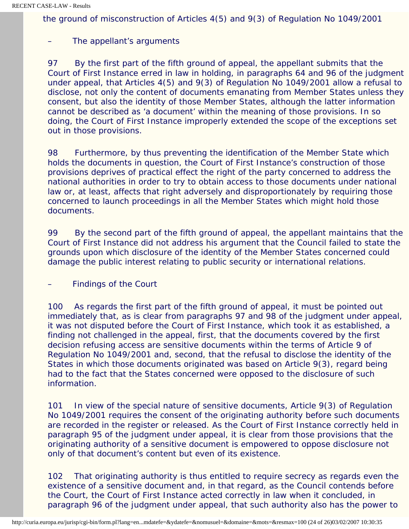the ground of misconstruction of Articles 4(5) and 9(3) of Regulation No 1049/2001

# The appellant's arguments

97 By the first part of the fifth ground of appeal, the appellant submits that the Court of First Instance erred in law in holding, in paragraphs 64 and 96 of the judgment under appeal, that Articles 4(5) and 9(3) of Regulation No 1049/2001 allow a refusal to disclose, not only the content of documents emanating from Member States unless they consent, but also the identity of those Member States, although the latter information cannot be described as 'a document' within the meaning of those provisions. In so doing, the Court of First Instance improperly extended the scope of the exceptions set out in those provisions.

98 Furthermore, by thus preventing the identification of the Member State which holds the documents in question, the Court of First Instance's construction of those provisions deprives of practical effect the right of the party concerned to address the national authorities in order to try to obtain access to those documents under national law or, at least, affects that right adversely and disproportionately by requiring those concerned to launch proceedings in all the Member States which might hold those documents.

99 By the second part of the fifth ground of appeal, the appellant maintains that the Court of First Instance did not address his argument that the Council failed to state the grounds upon which disclosure of the identity of the Member States concerned could damage the public interest relating to public security or international relations.

– Findings of the Court

100 As regards the first part of the fifth ground of appeal, it must be pointed out immediately that, as is clear from paragraphs 97 and 98 of the judgment under appeal, it was not disputed before the Court of First Instance, which took it as established, a finding not challenged in the appeal, first, that the documents covered by the first decision refusing access are sensitive documents within the terms of Article 9 of Regulation No 1049/2001 and, second, that the refusal to disclose the identity of the States in which those documents originated was based on Article 9(3), regard being had to the fact that the States concerned were opposed to the disclosure of such information.

101 In view of the special nature of sensitive documents, Article 9(3) of Regulation No 1049/2001 requires the consent of the originating authority before such documents are recorded in the register or released. As the Court of First Instance correctly held in paragraph 95 of the judgment under appeal, it is clear from those provisions that the originating authority of a sensitive document is empowered to oppose disclosure not only of that document's content but even of its existence.

102 That originating authority is thus entitled to require secrecy as regards even the existence of a sensitive document and, in that regard, as the Council contends before the Court, the Court of First Instance acted correctly in law when it concluded, in paragraph 96 of the judgment under appeal, that such authority also has the power to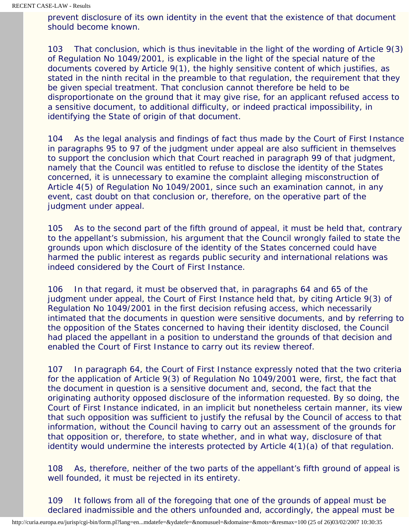prevent disclosure of its own identity in the event that the existence of that document should become known.

103 That conclusion, which is thus inevitable in the light of the wording of Article 9(3) of Regulation No 1049/2001, is explicable in the light of the special nature of the documents covered by Article 9(1), the highly sensitive content of which justifies, as stated in the ninth recital in the preamble to that regulation, the requirement that they be given special treatment. That conclusion cannot therefore be held to be disproportionate on the ground that it may give rise, for an applicant refused access to a sensitive document, to additional difficulty, or indeed practical impossibility, in identifying the State of origin of that document.

104 As the legal analysis and findings of fact thus made by the Court of First Instance in paragraphs 95 to 97 of the judgment under appeal are also sufficient in themselves to support the conclusion which that Court reached in paragraph 99 of that judgment, namely that the Council was entitled to refuse to disclose the identity of the States concerned, it is unnecessary to examine the complaint alleging misconstruction of Article 4(5) of Regulation No 1049/2001, since such an examination cannot, in any event, cast doubt on that conclusion or, therefore, on the operative part of the judgment under appeal.

105 As to the second part of the fifth ground of appeal, it must be held that, contrary to the appellant's submission, his argument that the Council wrongly failed to state the grounds upon which disclosure of the identity of the States concerned could have harmed the public interest as regards public security and international relations was indeed considered by the Court of First Instance.

106 In that regard, it must be observed that, in paragraphs 64 and 65 of the judgment under appeal, the Court of First Instance held that, by citing Article 9(3) of Regulation No 1049/2001 in the first decision refusing access, which necessarily intimated that the documents in question were sensitive documents, and by referring to the opposition of the States concerned to having their identity disclosed, the Council had placed the appellant in a position to understand the grounds of that decision and enabled the Court of First Instance to carry out its review thereof.

107 In paragraph 64, the Court of First Instance expressly noted that the two criteria for the application of Article 9(3) of Regulation No 1049/2001 were, first, the fact that the document in question is a sensitive document and, second, the fact that the originating authority opposed disclosure of the information requested. By so doing, the Court of First Instance indicated, in an implicit but nonetheless certain manner, its view that such opposition was sufficient to justify the refusal by the Council of access to that information, without the Council having to carry out an assessment of the grounds for that opposition or, therefore, to state whether, and in what way, disclosure of that identity would undermine the interests protected by Article 4(1)(a) of that regulation.

108 As, therefore, neither of the two parts of the appellant's fifth ground of appeal is well founded, it must be rejected in its entirety.

109 It follows from all of the foregoing that one of the grounds of appeal must be declared inadmissible and the others unfounded and, accordingly, the appeal must be